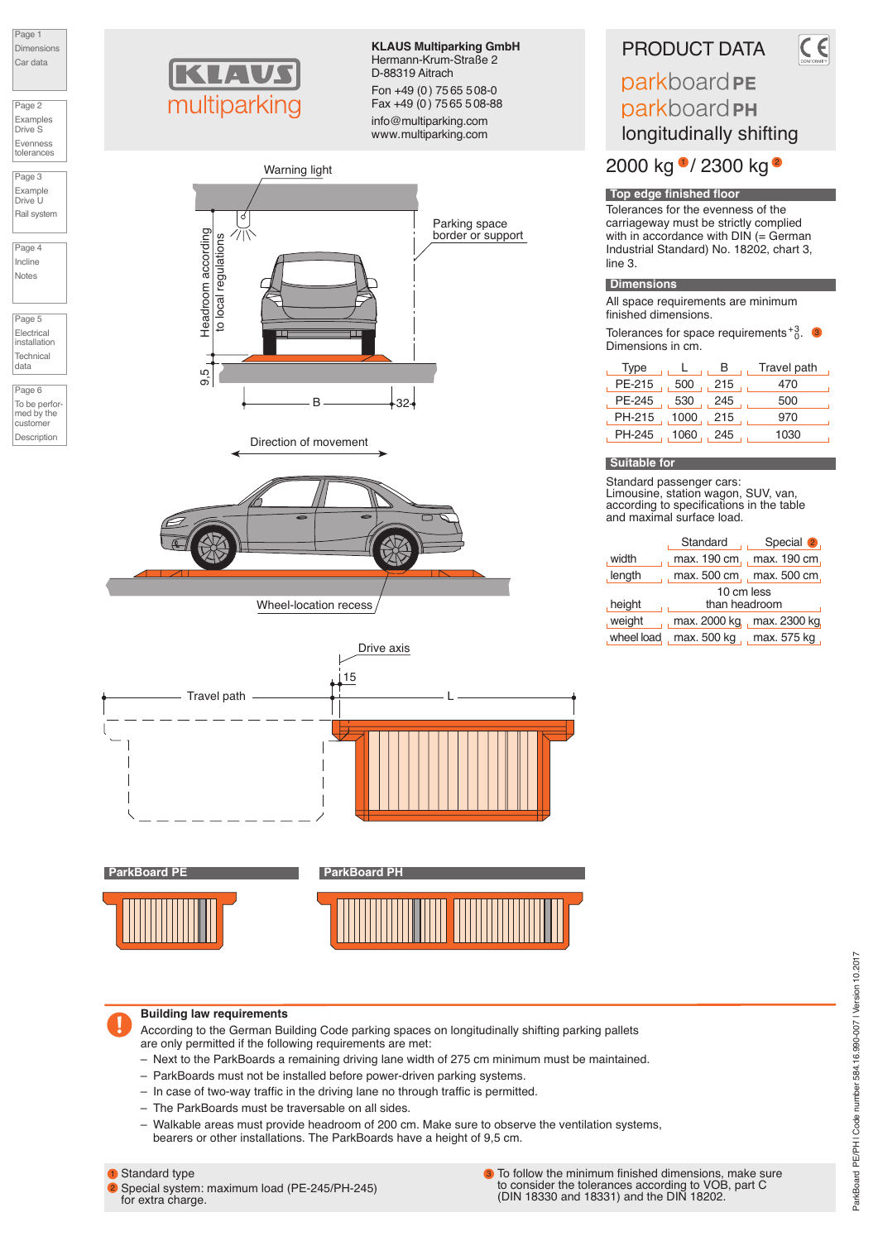Page 1 Dimensio Car data

Page 2 Examples Drive S Evenness tolerances

Page 3 Example Drive U Rail syste

Page 4 Incline Notes

Page 5 Electrical installation Technical data

Page 6 To be performed by the customer Description



**KLAUS Multiparking GmbH** Hermann-Krum-Straße 2 D-88319 Aitrach Fon +49 (0) 7565 508-0 Fax +49 (0) 75 65 5 08-88

info@multiparking.com www.multiparking.com



Wheel-location recess



**ParkBoard PE ParkBoard P** 





#### **Building law requirements**

According to the German Building Code parking spaces on longitudinally shifting parking pallets are only permitted if the following requirements are met:

- Next to the ParkBoards a remaining driving lane width of 275 cm minimum must be maintained.
- ParkBoards must not be installed before power-driven parking systems.
- In case of two-way traffic in the driving lane no through traffic is permitted.
- The ParkBoards must be traversable on all sides.
- Walkable areas must provide headroom of 200 cm. Make sure to observe the ventilation systems, bearers or other installations. The ParkBoards have a height of 9,5 cm.

# **1** Standard type

2 Special system: maximum load (PE-245/PH-245) for extra charge.

To follow the minimum finished dimensions, make sure to consider the tolerances according to VOB, part C (DIN 18330 and 18331) and the DIN 18202. 3

# PRODUCT DATA

parkboard PE parkboard PH longitudinally shifting

2000 kg <sup>•</sup>/ 2300 kg <sup>•</sup>

Tolerances for the evenness of the carriageway must be strictly complied with in accordance with  $DIN \stackrel{\frown}{=} German$ Industrial Standard) No. 18202, chart 3, line 3. **Top edge finished floor**

# **Dimensions**

All space requirements are minimum finished dimensions.

Tolerances for space requirements  $^{+3}_{0}$ . Dimensions in cm.

| Type         |        | в   | Travel path |
|--------------|--------|-----|-------------|
| PE-215       | 500    | 215 | 470         |
| PE-245       | 530    | 245 | 500         |
| PH-215, 1000 |        | 215 | 970         |
| PH-245       | . 1060 | 245 | 1030        |

## **Suitable for**

Standard passenger cars: Limousine, station wagon, SUV, van, according to specifications in the table and maximal surface load.

| Standard                  | Special 2                    |  |  |  |  |  |  |  |  |  |  |
|---------------------------|------------------------------|--|--|--|--|--|--|--|--|--|--|
|                           | max. 190 cm, max. 190 cm,    |  |  |  |  |  |  |  |  |  |  |
| max. 500 cm, max. 500 cm, |                              |  |  |  |  |  |  |  |  |  |  |
| 10 cm less                |                              |  |  |  |  |  |  |  |  |  |  |
| than headroom             |                              |  |  |  |  |  |  |  |  |  |  |
|                           | max. 2000 kg., max. 2300 kg. |  |  |  |  |  |  |  |  |  |  |
| max. 500 kg , max. 575 kg |                              |  |  |  |  |  |  |  |  |  |  |
|                           |                              |  |  |  |  |  |  |  |  |  |  |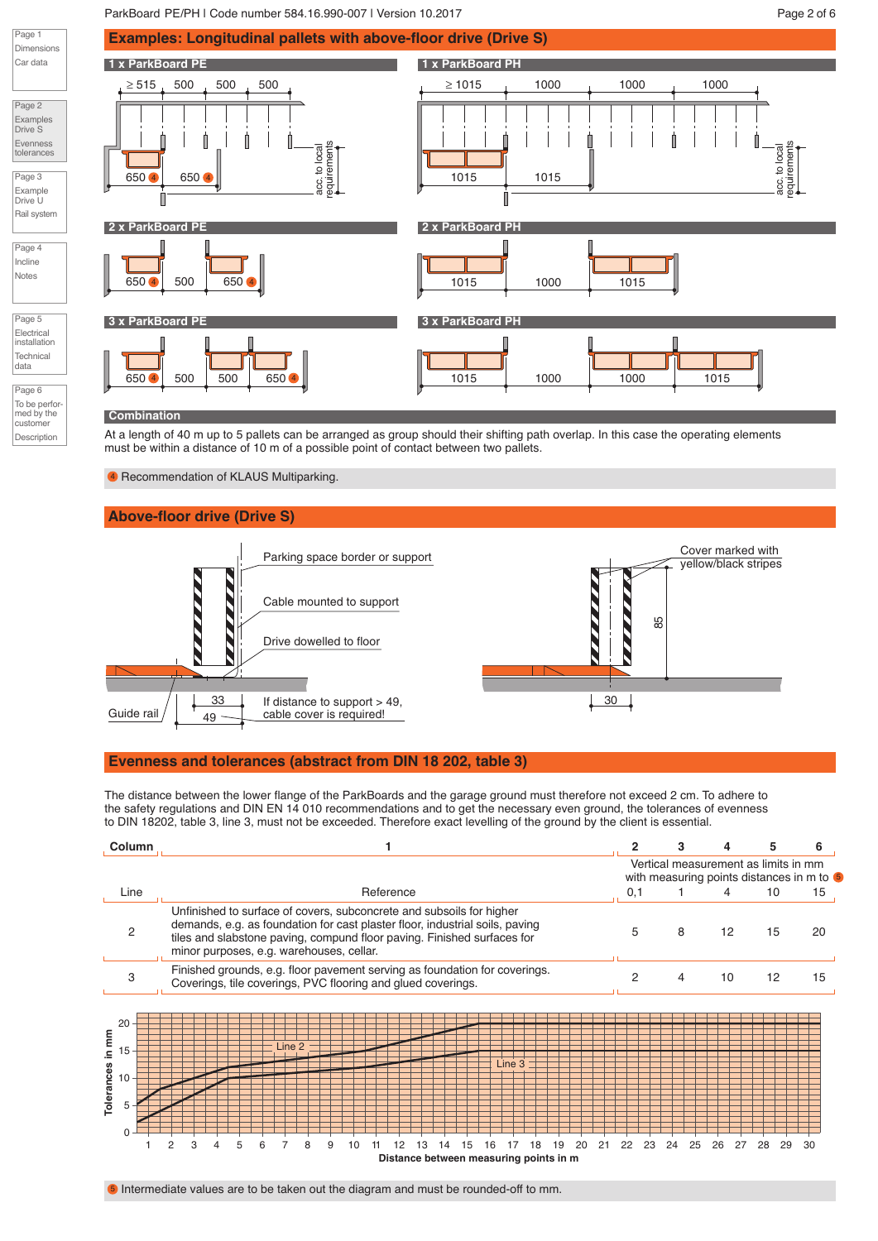#### ParkBoard PE/PH | Code number 584.16.990-007 | Version 10.2017 | New York Page 2 of 6



#### **Combination**

Page 1

Car data

Page 2 Examples Drive S Evenness tolerances Page 3 Example Drive U

Page 4 Incline Notes

Page 5 Electrical installation **Technical** data Page 6

customer Description

At a length of 40 m up to 5 pallets can be arranged as group should their shifting path overlap. In this case the operating elements must be within a distance of 10 m of a possible point of contact between two pallets.

<sup>4</sup> Recommendation of KLAUS Multiparking.

# **Above-floor drive (Drive S)**



#### **Evenness and tolerances (abstract from DIN 18 202, table 3)**

The distance between the lower flange of the ParkBoards and the garage ground must therefore not exceed 2 cm. To adhere to the safety regulations and DIN EN 14 010 recommendations and to get the necessary even ground, the tolerances of evenness to DIN 18202, table 3, line 3, must not be exceeded. Therefore exact levelling of the ground by the client is essential.

| <b>Column</b>                                                                                                                                                                                                                                                               |   |  |   |  |  |  |        |  |  |  |  |           |  |                                                              |        |                                                                            |                                        |    | 6  |               |    |        |    |               |    |                                                                                                          |
|-----------------------------------------------------------------------------------------------------------------------------------------------------------------------------------------------------------------------------------------------------------------------------|---|--|---|--|--|--|--------|--|--|--|--|-----------|--|--------------------------------------------------------------|--------|----------------------------------------------------------------------------|----------------------------------------|----|----|---------------|----|--------|----|---------------|----|----------------------------------------------------------------------------------------------------------|
|                                                                                                                                                                                                                                                                             |   |  |   |  |  |  |        |  |  |  |  |           |  |                                                              |        |                                                                            |                                        |    |    |               |    |        |    |               |    |                                                                                                          |
|                                                                                                                                                                                                                                                                             |   |  |   |  |  |  |        |  |  |  |  |           |  |                                                              |        |                                                                            |                                        |    |    |               |    |        |    |               |    | 15                                                                                                       |
| Unfinished to surface of covers, subconcrete and subsoils for higher<br>demands, e.g. as foundation for cast plaster floor, industrial soils, paving<br>tiles and slabstone paving, compund floor paving. Finished surfaces for<br>minor purposes, e.g. warehouses, cellar. |   |  |   |  |  |  |        |  |  |  |  |           |  |                                                              |        |                                                                            |                                        |    |    | 20            |    |        |    |               |    |                                                                                                          |
|                                                                                                                                                                                                                                                                             |   |  |   |  |  |  |        |  |  |  |  |           |  |                                                              |        |                                                                            |                                        |    |    |               |    |        |    |               |    | 15                                                                                                       |
| $\overline{c}$                                                                                                                                                                                                                                                              | З |  | 5 |  |  |  | 9      |  |  |  |  |           |  |                                                              | 19     | 20                                                                         | 21                                     | 22 | 23 | 24            | 25 | 26     | 27 | 28            | 29 | 30                                                                                                       |
|                                                                                                                                                                                                                                                                             |   |  |   |  |  |  | Line 2 |  |  |  |  | Reference |  | Coverings, tile coverings, PVC flooring and glued coverings. | Line 3 | Finished grounds, e.g. floor pavement serving as foundation for coverings. | Distance between measuring points in m |    |    | 0,1<br>5<br>2 |    | 8<br>4 |    | 4<br>12<br>10 |    | 5<br>Vertical measurement as limits in mm<br>with measuring points distances in m to 5<br>10<br>15<br>12 |

**6** Intermediate values are to be taken out the diagram and must be rounded-off to mm.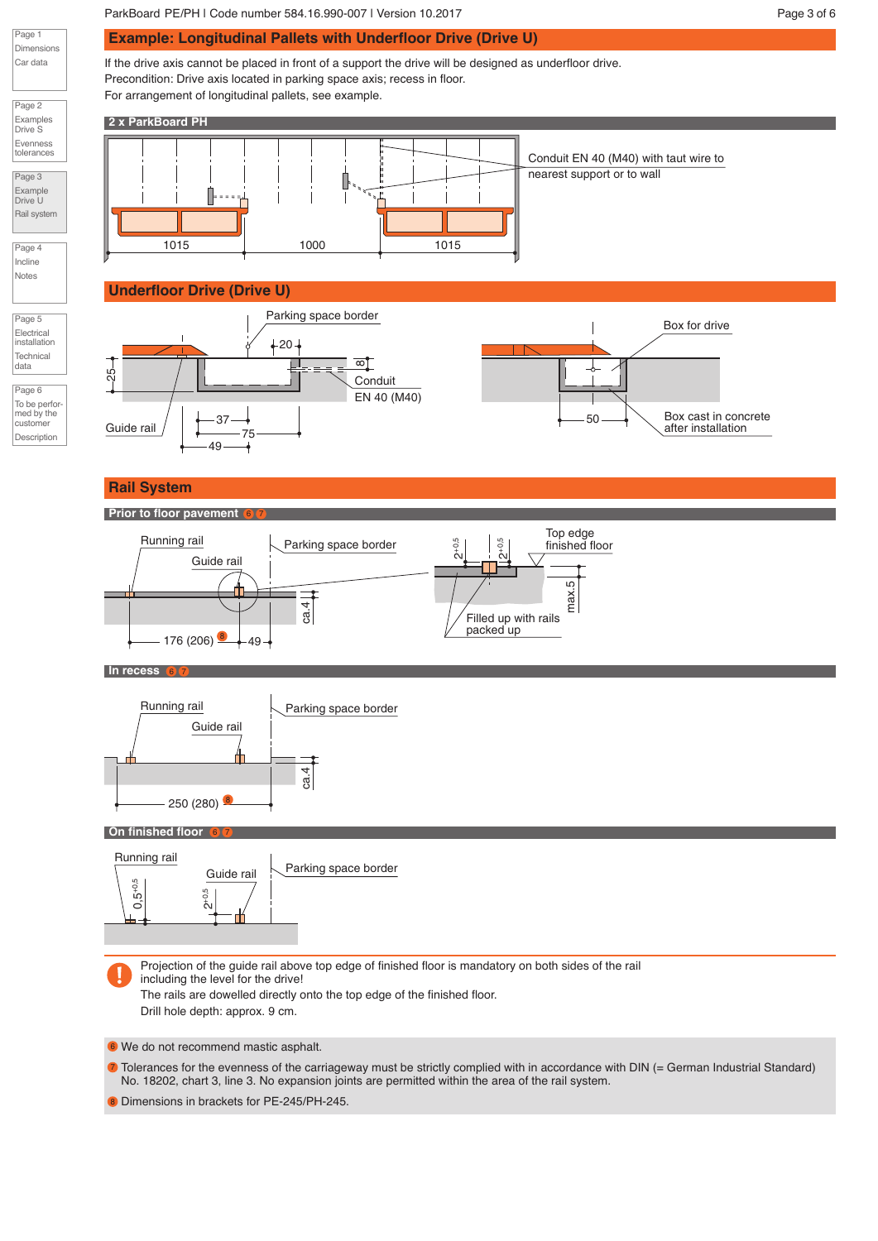Box cast in concrete after installation

Box for drive

ParkBoard PE/PH | Code number 584.16.990-007 | Version 10.2017 | New York 100 | Name 2016 | Page 3 of 6 **Example: Longitudinal Pallets with Underfloor Drive (Drive U)** If the drive axis cannot be placed in front of a support the drive will be designed as underfloor drive. Precondition: Drive axis located in parking space axis; recess in floor. For arrangement of longitudinal pallets, see example. **2 x ParkBoard PH** Conduit EN 40 (M40) with taut wire to nearest support or to wall 1015 1000 1015 **Underfloor Drive (Drive U)** Parking space border  $-20 -$ 본  $^{\circ}$  $25 -$ Conduit EN 40 (M40) Guide rail  $\left( \begin{array}{c} \end{array} \right)$   $\left( \begin{array}{c} \end{array} \right)$ 50 75 49 **Rail System Prior to floor pavement** 6 X 7 Top edge Running rail Parking space border 2+0,5



**In recess** 6 7

Page 1 Dimensions Car data

Page 2 Examples Drive S Evenness tolerances Page 3 Example Drive U Rail system

Page 4 Incline Notes

Page 5 Electrical installation **Technical** data Page 6 To be perfor med by the customer Description



#### **On finished floor** 6 X 7

П



Projection of the guide rail above top edge of finished floor is mandatory on both sides of the rail including the level for the drive! The rails are dowelled directly onto the top edge of the finished floor.

Drill hole depth: approx. 9 cm.

We do not recommend mastic asphalt. 6

Tolerances for the evenness of the carriageway must be strictly complied with in accordance with DIN (= German Industrial Standard) No. 18202, chart 3, line 3. No expansion joints are permitted within the area of the rail system. 7

8 Dimensions in brackets for PE-245/PH-245.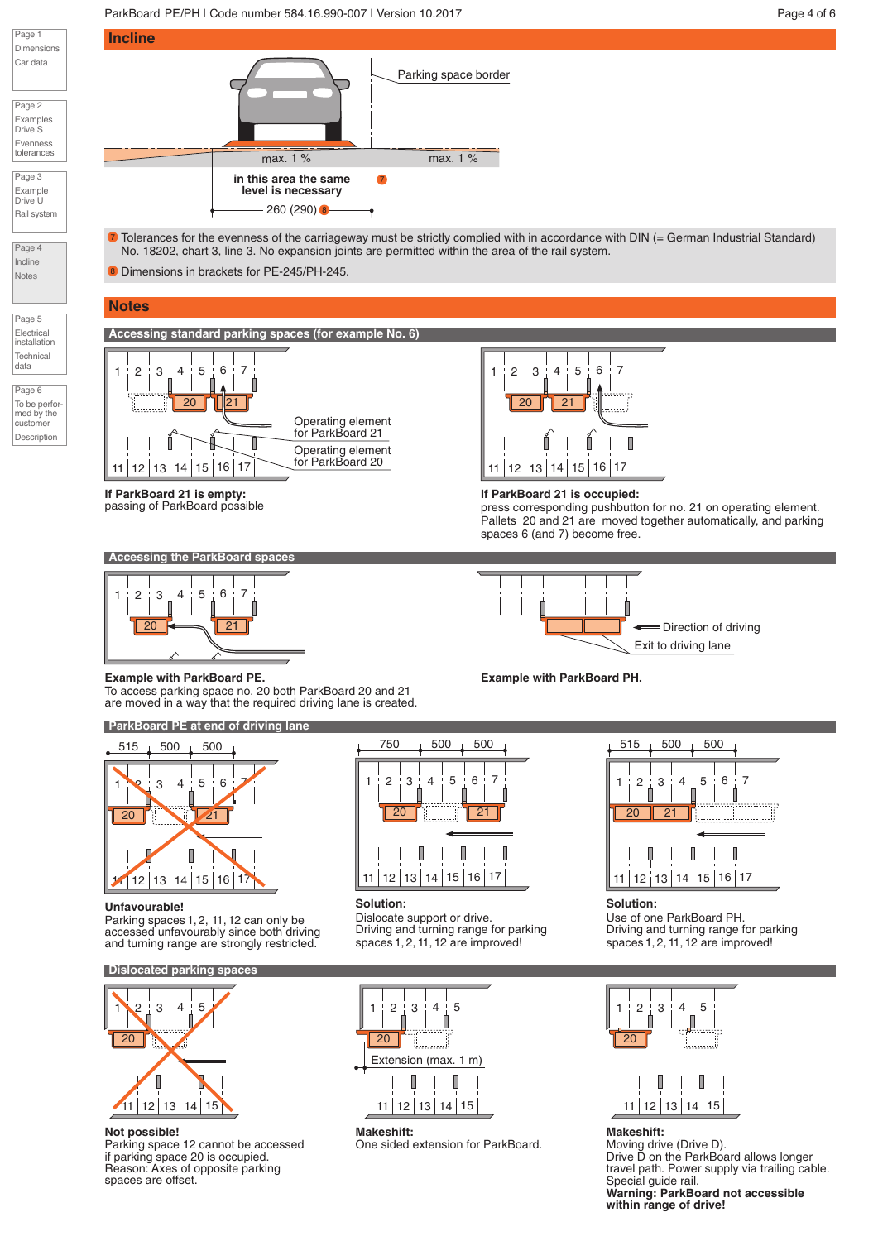### ParkBoard PE/PH | Code number 584.16.990-007 | Version 10.2017 | New York Page 4 of 6



Page 2 Examples Drive S Evenness tolerances

Page 3 Example Drive U Rail system

Page 4 Incline **Notes** 

Page 5 Electrical installation Technical data

Page 6 To be performed by the customer Description



 $\bar{\bm{v}}$  Tolerances for the evenness of the carriageway must be strictly complied with in accordance with DIN (= German Industrial Standard) No. 18202, chart 3, line 3. No expansion joints are permitted within the area of the rail system.

8 Dimensions in brackets for PE-245/PH-245.

# **Notes**

**Accessing standard parking spaces (for example No. 6)**



**If ParkBoard 21 is empty:** passing of ParkBoard possible







**If ParkBoard 21 is occupied:**

press corresponding pushbutton for no. 21 on operating element. Pallets 20 and 21 are moved together automatically, and parking spaces 6 (and 7) become free.



#### **Example with ParkBoard PE.**

To access parking space no. 20 both ParkBoard 20 and 21 are moved in a way that the required driving lane is created.

**ParkBoard PE at end of driving lane**



#### **Unfavourable!**

Parking spaces 1, 2, 11, 12 can only be accessed unfavourably since both driving and turning range are strongly restricted.

# **Dislocated parking space**



#### **Not possible!**

Parking space 12 cannot be accessed if parking space 20 is occupied. Reason: Axes of opposite parking spaces are offset.



# **Solution:**

Dislocate support or drive. Driving and turning range for parking spaces 1,2, 11,12 are improved!



**Makeshift:** One sided extension for ParkBoard.



**Solution:** Use of one ParkBoard PH. Driving and turning range for parking spaces 1,2, 11, 12 are improved!



# 11 12 13 14 15 **Makeshift:**

Moving drive (Drive D). Drive D on the ParkBoard allows longer travel path. Power supply via trailing cable. Special guide rail. **Warning: ParkBoard not accessible within range of drive!**

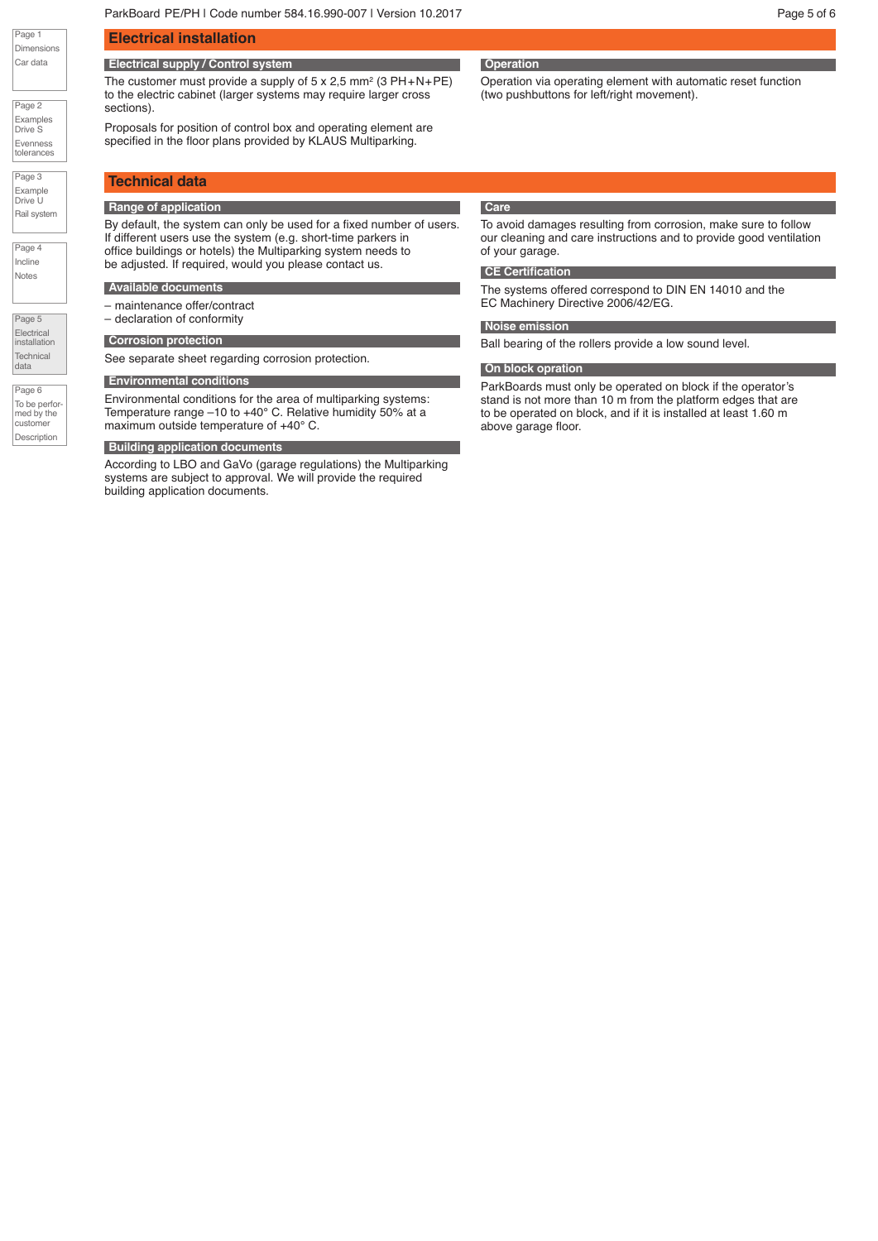Page 2 Examples Drive S Evenness tolerances

Page 3 Example Drive U Rail system

Page 4 Incline Notes

Page 5 **Electrical** installation **Technical** data

Page 6  $T_0$  be performed by the customer Description

# **Electrical installation**

# **Electrical supply / Control system**

The customer must provide a supply of  $5 \times 2.5$  mm<sup>2</sup> (3 PH+N+PE) to the electric cabinet (larger systems may require larger cross sections).

Proposals for position of control box and operating element are specified in the floor plans provided by KLAUS Multiparking.

# **Technical data**

#### **Range of application**

By default, the system can only be used for a fixed number of users. If different users use the system (e.g. short-time parkers in office buildings or hotels) the Multiparking system needs to be adjusted. If required, would you please contact us.

#### **Available documents**

– maintenance offer/contract – declaration of conformity

See separate sheet regarding corrosion protection.

### **Environmental conditions**

Environmental conditions for the area of multiparking systems: Temperature range –10 to +40° C. Relative humidity 50% at a maximum outside temperature of +40° C.

#### **Building application documents**

According to LBO and GaVo (garage regulations) the Multiparking systems are subject to approval. We will provide the required building application documents.

# **Operation**

Operation via operating element with automatic reset function (two pushbuttons for left/right movement).

#### **Care**

To avoid damages resulting from corrosion, make sure to follow our cleaning and care instructions and to provide good ventilation of your garage.

#### **CE Certification**

The systems offered correspond to DIN EN 14010 and the EC Machinery Directive 2006/42/EG.

#### **Palettenkonstruktion Noise emission**

**Corrosion protection Corrosion protection but be a low sound level.** Ball bearing of the rollers provide a low sound level.

#### **On block opration**

ParkBoards must only be operated on block if the operator's stand is not more than 10 m from the platform edges that are to be operated on block, and if it is installed at least 1.60 m above garage floor.